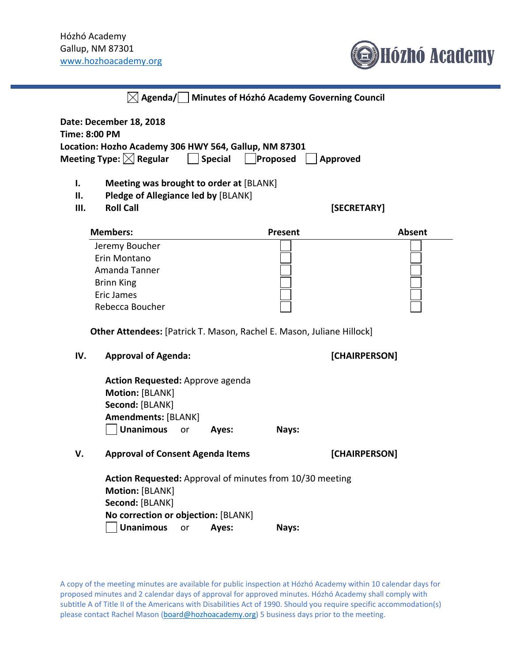

|                      |                                                                                                                                                                                                                                                                                                                             |    |                |                | $\boxtimes$ Agenda/ $\mid$ Minutes of Hózhó Academy Governing Council |               |
|----------------------|-----------------------------------------------------------------------------------------------------------------------------------------------------------------------------------------------------------------------------------------------------------------------------------------------------------------------------|----|----------------|----------------|-----------------------------------------------------------------------|---------------|
| <b>Time: 8:00 PM</b> | Date: December 18, 2018<br>Location: Hozho Academy 306 HWY 564, Gallup, NM 87301<br>Meeting Type: $\boxtimes$ Regular                                                                                                                                                                                                       |    | <b>Special</b> | Proposed       | <b>Approved</b>                                                       |               |
| ı.<br>Н.             | Meeting was brought to order at [BLANK]                                                                                                                                                                                                                                                                                     |    |                |                |                                                                       |               |
| III.                 | Pledge of Allegiance led by [BLANK]<br><b>Roll Call</b>                                                                                                                                                                                                                                                                     |    |                |                | [SECRETARY]                                                           |               |
|                      | <b>Members:</b>                                                                                                                                                                                                                                                                                                             |    |                | <b>Present</b> |                                                                       | <b>Absent</b> |
| IV.                  | Jeremy Boucher<br>Erin Montano<br>Amanda Tanner<br><b>Brinn King</b><br><b>Eric James</b><br>Rebecca Boucher<br>Other Attendees: [Patrick T. Mason, Rachel E. Mason, Juliane Hillock]<br><b>Approval of Agenda:</b><br>Action Requested: Approve agenda<br>Motion: [BLANK]<br>Second: [BLANK]<br><b>Amendments: [BLANK]</b> |    |                |                | [CHAIRPERSON]                                                         |               |
|                      | <b>Unanimous</b>                                                                                                                                                                                                                                                                                                            | or | Ayes:          | Nays:          |                                                                       |               |
| V.                   | <b>Approval of Consent Agenda Items</b>                                                                                                                                                                                                                                                                                     |    |                |                | [CHAIRPERSON]                                                         |               |
|                      | Action Requested: Approval of minutes from 10/30 meeting<br>Motion: [BLANK]<br>Second: [BLANK]<br>No correction or objection: [BLANK]                                                                                                                                                                                       |    |                |                |                                                                       |               |
|                      | <b>Unanimous</b>                                                                                                                                                                                                                                                                                                            | or | Ayes:          | Nays:          |                                                                       |               |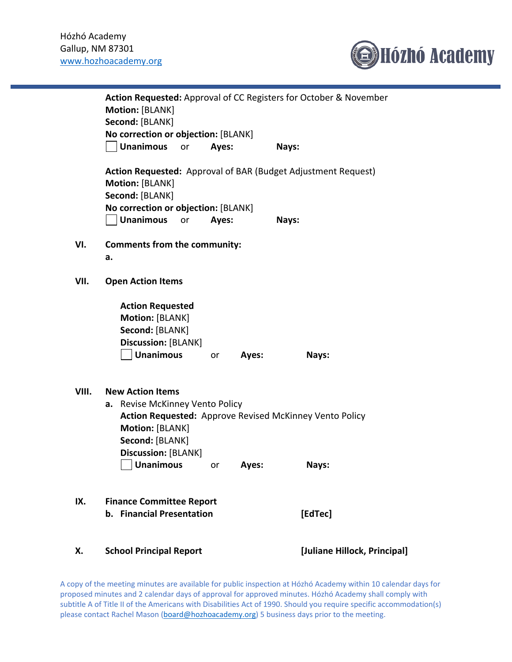

|       | Motion: [BLANK]<br>Second: [BLANK]                                                                                                          |       |       | Action Requested: Approval of CC Registers for October & November |  |
|-------|---------------------------------------------------------------------------------------------------------------------------------------------|-------|-------|-------------------------------------------------------------------|--|
|       | No correction or objection: [BLANK]<br><b>Unanimous</b><br>or                                                                               | Ayes: |       | Nays:                                                             |  |
|       | Motion: [BLANK]<br>Second: [BLANK]<br>No correction or objection: [BLANK]                                                                   |       |       | Action Requested: Approval of BAR (Budget Adjustment Request)     |  |
|       | <b>Unanimous</b><br>or                                                                                                                      | Ayes: |       | Nays:                                                             |  |
| VI.   | <b>Comments from the community:</b><br>а.                                                                                                   |       |       |                                                                   |  |
| VII.  | <b>Open Action Items</b>                                                                                                                    |       |       |                                                                   |  |
|       | <b>Action Requested</b><br>Motion: [BLANK]<br>Second: [BLANK]<br>Discussion: [BLANK]<br><b>Unanimous</b>                                    | or    | Ayes: | Nays:                                                             |  |
| VIII. | <b>New Action Items</b><br>a. Revise McKinney Vento Policy<br>Motion: [BLANK]<br>Second: [BLANK]<br>Discussion: [BLANK]<br><b>Unanimous</b> | or    | Ayes: | Action Requested: Approve Revised McKinney Vento Policy<br>Nays:  |  |
| IX.   | <b>Finance Committee Report</b><br>b. Financial Presentation                                                                                |       |       | [EdTec]                                                           |  |
| Х.    | <b>School Principal Report</b>                                                                                                              |       |       | [Juliane Hillock, Principal]                                      |  |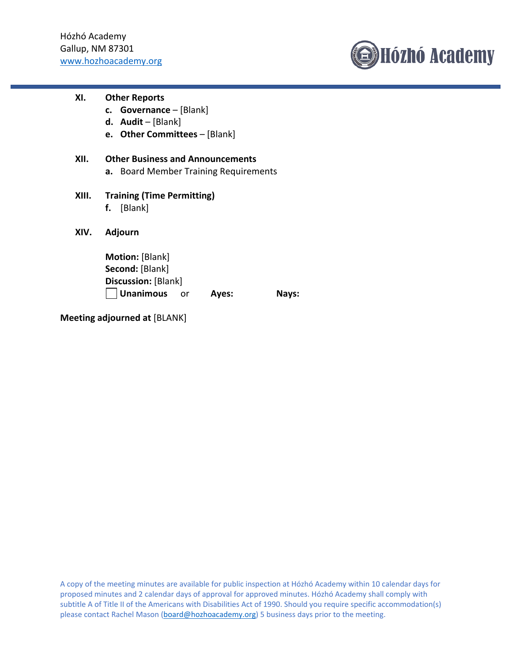

| XI.   | <b>Other Reports</b>                         |
|-------|----------------------------------------------|
|       | c. Governance $-$ [Blank]                    |
|       | d. Audit $-$ [Blank]                         |
|       | e. Other Committees - [Blank]                |
| XII.  | <b>Other Business and Announcements</b>      |
|       | <b>a.</b> Board Member Training Requirements |
| XIII. | <b>Training (Time Permitting)</b>            |
|       | f.<br>[Blank]                                |
| XIV.  | Adjourn                                      |
|       | Motion: [Blank]                              |
|       | Second: [Blank]                              |
|       | Discussion: [Blank]                          |
|       | <b>Unanimous</b><br>Nays:<br>or<br>Ayes:     |
|       | <b>Meeting adjourned at [BLANK]</b>          |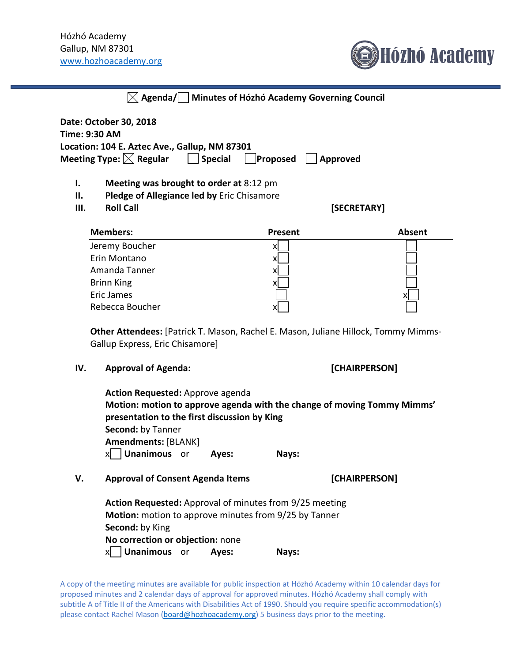

|     |                                                                                                                                                                                                                | $[\times]$ Agenda/ $ $ Minutes of Hózhó Academy Governing Council |               |
|-----|----------------------------------------------------------------------------------------------------------------------------------------------------------------------------------------------------------------|-------------------------------------------------------------------|---------------|
|     | Date: October 30, 2018<br><b>Time: 9:30 AM</b><br>Location: 104 E. Aztec Ave., Gallup, NM 87301<br>Meeting Type: $\boxtimes$ Regular<br><b>Special</b>                                                         | Proposed<br><b>Approved</b>                                       |               |
| ı.  | Meeting was brought to order at 8:12 pm                                                                                                                                                                        |                                                                   |               |
| II. | Pledge of Allegiance led by Eric Chisamore                                                                                                                                                                     |                                                                   |               |
|     | <b>Roll Call</b>                                                                                                                                                                                               |                                                                   |               |
| Ш.  |                                                                                                                                                                                                                |                                                                   | [SECRETARY]   |
|     | <b>Members:</b>                                                                                                                                                                                                | Present                                                           | <b>Absent</b> |
|     | Jeremy Boucher                                                                                                                                                                                                 | X                                                                 |               |
|     | Erin Montano                                                                                                                                                                                                   | X                                                                 |               |
|     | Amanda Tanner                                                                                                                                                                                                  | X                                                                 |               |
|     | <b>Brinn King</b>                                                                                                                                                                                              | x                                                                 |               |
|     | Eric James                                                                                                                                                                                                     |                                                                   |               |
|     | Rebecca Boucher                                                                                                                                                                                                |                                                                   |               |
|     | Other Attendees: [Patrick T. Mason, Rachel E. Mason, Juliane Hillock, Tommy Mimms-<br>Gallup Express, Eric Chisamore]                                                                                          |                                                                   |               |
| IV. | <b>Approval of Agenda:</b>                                                                                                                                                                                     |                                                                   | [CHAIRPERSON] |
|     | Action Requested: Approve agenda<br>Motion: motion to approve agenda with the change of moving Tommy Mimms'<br>presentation to the first discussion by King<br>Second: by Tanner<br><b>Amendments: [BLANK]</b> |                                                                   |               |
|     | xl<br><b>Unanimous</b> or<br>Ayes:                                                                                                                                                                             | Nays:                                                             |               |
| V.  | <b>Approval of Consent Agenda Items</b>                                                                                                                                                                        |                                                                   | [CHAIRPERSON] |
|     | Action Requested: Approval of minutes from 9/25 meeting<br>Motion: motion to approve minutes from 9/25 by Tanner<br>Second: by King                                                                            |                                                                   |               |
|     | No correction or objection: none                                                                                                                                                                               |                                                                   |               |
|     | Unanimous or<br>Ayes:                                                                                                                                                                                          | Nays:                                                             |               |
|     |                                                                                                                                                                                                                |                                                                   |               |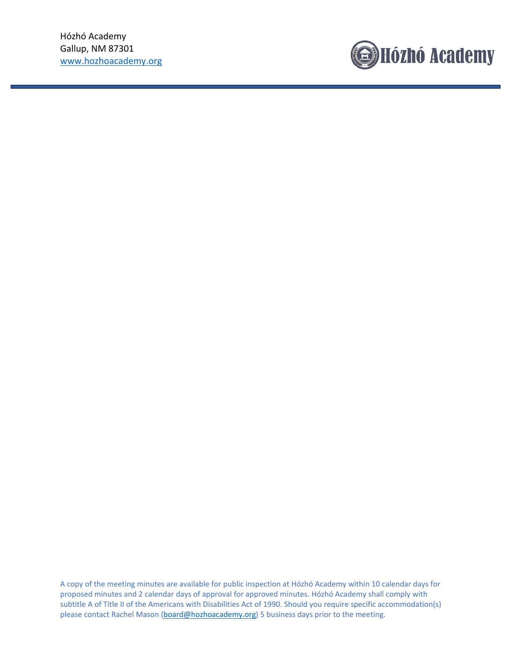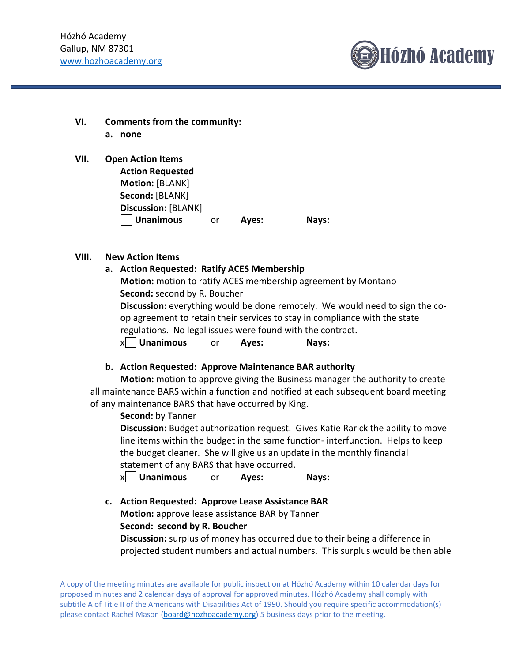

- **VI. Comments from the community: a. none**
- **VII. Open Action Items Action Requested Motion:** [BLANK] **Second:** [BLANK] **Discussion:** [BLANK] **Unanimous** or **Ayes: Nays:**

#### **VIII. New Action Items**

**a. Action Requested: Ratify ACES Membership Motion:** motion to ratify ACES membership agreement by Montano **Second:** second by R. Boucher **Discussion:** everything would be done remotely. We would need to sign the coop agreement to retain their services to stay in compliance with the state regulations. No legal issues were found with the contract. x **Unanimous** or **Ayes: Nays:** 

#### **b. Action Requested: Approve Maintenance BAR authority**

**Motion:** motion to approve giving the Business manager the authority to create all maintenance BARS within a function and notified at each subsequent board meeting of any maintenance BARS that have occurred by King.

**Second:** by Tanner

**Discussion:** Budget authorization request. Gives Katie Rarick the ability to move line items within the budget in the same function- interfunction. Helps to keep the budget cleaner. She will give us an update in the monthly financial statement of any BARS that have occurred.

x **Unanimous** or **Ayes: Nays:**

**c. Action Requested: Approve Lease Assistance BAR Motion:** approve lease assistance BAR by Tanner **Second: second by R. Boucher Discussion:** surplus of money has occurred due to their being a difference in projected student numbers and actual numbers. This surplus would be then able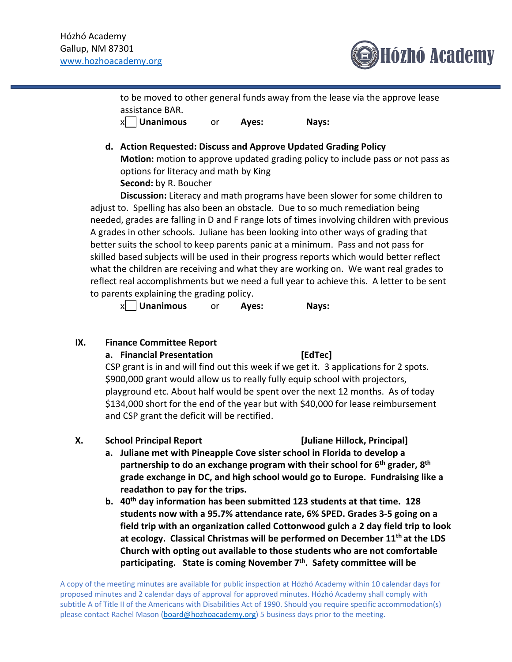

to be moved to other general funds away from the lease via the approve lease assistance BAR.

x **Unanimous** or **Ayes: Nays:**

**d. Action Requested: Discuss and Approve Updated Grading Policy Motion:** motion to approve updated grading policy to include pass or not pass as options for literacy and math by King **Second:** by R. Boucher

**Discussion:** Literacy and math programs have been slower for some children to adjust to. Spelling has also been an obstacle. Due to so much remediation being needed, grades are falling in D and F range lots of times involving children with previous A grades in other schools. Juliane has been looking into other ways of grading that better suits the school to keep parents panic at a minimum. Pass and not pass for skilled based subjects will be used in their progress reports which would better reflect what the children are receiving and what they are working on. We want real grades to reflect real accomplishments but we need a full year to achieve this. A letter to be sent to parents explaining the grading policy.

x **Unanimous** or **Ayes: Nays:**

## **IX. Finance Committee Report**

#### **a. Financial Presentation [EdTec]**

CSP grant is in and will find out this week if we get it. 3 applications for 2 spots. \$900,000 grant would allow us to really fully equip school with projectors, playground etc. About half would be spent over the next 12 months. As of today \$134,000 short for the end of the year but with \$40,000 for lease reimbursement and CSP grant the deficit will be rectified.

### **X. School Principal Report [Juliane Hillock, Principal]**

- **a. Juliane met with Pineapple Cove sister school in Florida to develop a partnership to do an exchange program with their school for 6th grader, 8th grade exchange in DC, and high school would go to Europe. Fundraising like a readathon to pay for the trips.**
- **b. 40th day information has been submitted 123 students at that time. 128 students now with a 95.7% attendance rate, 6% SPED. Grades 3-5 going on a field trip with an organization called Cottonwood gulch a 2 day field trip to look at ecology. Classical Christmas will be performed on December 11th at the LDS Church with opting out available to those students who are not comfortable participating. State is coming November 7th. Safety committee will be**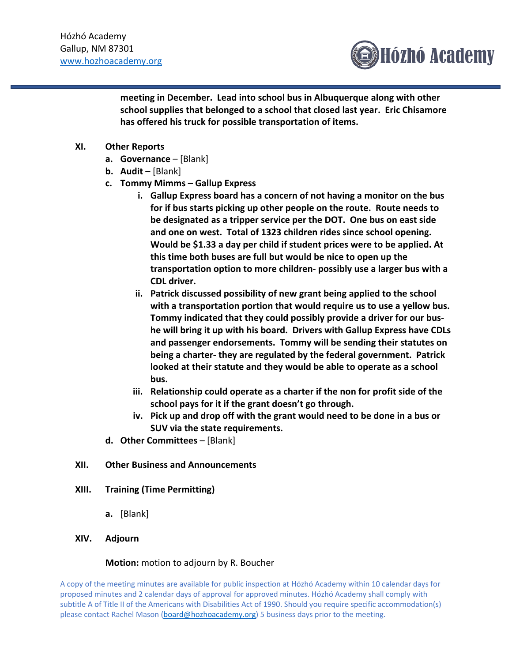

**meeting in December. Lead into school bus in Albuquerque along with other school supplies that belonged to a school that closed last year. Eric Chisamore has offered his truck for possible transportation of items.** 

- **XI. Other Reports**
	- **a. Governance** [Blank]
	- **b. Audit** [Blank]
	- **c. Tommy Mimms – Gallup Express**
		- **i. Gallup Express board has a concern of not having a monitor on the bus for if bus starts picking up other people on the route. Route needs to be designated as a tripper service per the DOT. One bus on east side and one on west. Total of 1323 children rides since school opening. Would be \$1.33 a day per child if student prices were to be applied. At this time both buses are full but would be nice to open up the transportation option to more children- possibly use a larger bus with a CDL driver.**
		- **ii. Patrick discussed possibility of new grant being applied to the school with a transportation portion that would require us to use a yellow bus. Tommy indicated that they could possibly provide a driver for our bushe will bring it up with his board. Drivers with Gallup Express have CDLs and passenger endorsements. Tommy will be sending their statutes on being a charter- they are regulated by the federal government. Patrick looked at their statute and they would be able to operate as a school bus.**
		- **iii. Relationship could operate as a charter if the non for profit side of the school pays for it if the grant doesn't go through.**
		- **iv. Pick up and drop off with the grant would need to be done in a bus or SUV via the state requirements.**
	- **d. Other Committees** [Blank]

#### **XII. Other Business and Announcements**

- **XIII. Training (Time Permitting)**
	- **a.** [Blank]

#### **XIV. Adjourn**

#### **Motion:** motion to adjourn by R. Boucher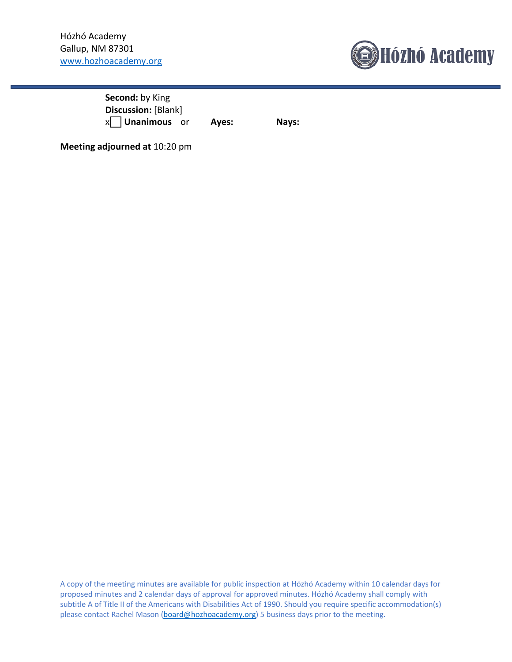

**Second:** by King **Discussion:** [Blank] x **Unanimous** or **Ayes: Nays:** 

**Meeting adjourned at** 10:20 pm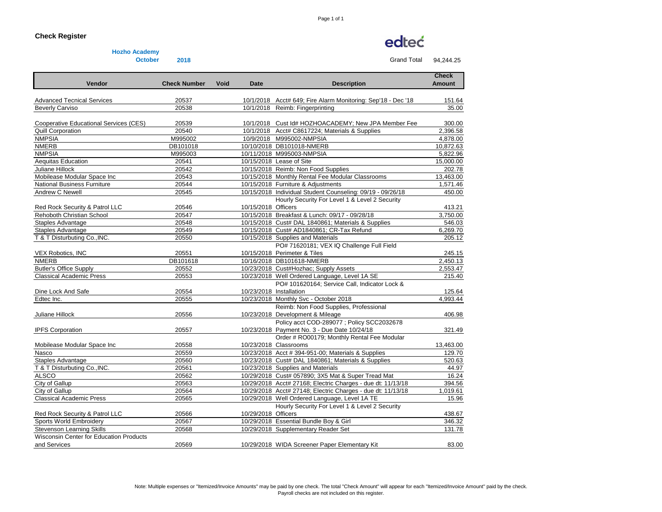## **Hozho Academy**

**October 2018 Constant Constant Constant Constant Constant Constant Constant Constant Constant Constant Constant Constant Constant Constant Constant Constant Constant Constant Constant Constant Constant Constant Constant** 

edteć

| 94.Z44.Z |  |  |  |  |
|----------|--|--|--|--|
|          |  |  |  |  |

| <b>Vendor</b>                                  | <b>Check Number</b> | <b>Void</b> | <b>Date</b>         | <b>Description</b>                                           | <b>Check</b><br><b>Amount</b> |
|------------------------------------------------|---------------------|-------------|---------------------|--------------------------------------------------------------|-------------------------------|
| <b>Advanced Tecnical Services</b>              | 20537               |             |                     | 10/1/2018 Acct# 649; Fire Alarm Monitoring: Sep'18 - Dec '18 | 151.64                        |
| <b>Beverly Carviso</b>                         | 20538               |             |                     | 10/1/2018 Reimb: Fingerprinting                              | 35.00                         |
|                                                |                     |             |                     |                                                              |                               |
| <b>Cooperative Educational Services (CES)</b>  | 20539               |             |                     | 10/1/2018 Cust Id# HOZHOACADEMY; New JPA Member Fee          | 300.00                        |
| <b>Quill Corporation</b>                       | 20540               |             |                     | 10/1/2018 Acct# C8617224; Materials & Supplies               | 2,396.58                      |
| <b>NMPSIA</b>                                  | M995002             |             |                     | 10/9/2018 M995002-NMPSIA                                     | 4,878.00                      |
| <b>NMERB</b>                                   | DB101018            |             |                     | 10/10/2018 DB101018-NMERB                                    | 10,872.63                     |
| <b>NMPSIA</b>                                  | M995003             |             |                     | 10/11/2018 M995003-NMPSIA                                    | 5,822.96                      |
| <b>Aequitas Education</b>                      | 20541               |             |                     | 10/15/2018 Lease of Site                                     | 15,000.00                     |
| <b>Juliane Hillock</b>                         | 20542               |             |                     | 10/15/2018 Reimb: Non Food Supplies                          | 202.78                        |
| Mobilease Modular Space Inc                    | 20543               |             |                     | 10/15/2018 Monthly Rental Fee Modular Classrooms             | 13,463.00                     |
| <b>National Business Furniture</b>             | 20544               |             |                     | 10/15/2018 Furniture & Adjustments                           | 1,571.46                      |
| <b>Andrew C Newell</b>                         | 20545               |             |                     | 10/15/2018 Individual Student Counseling: 09/19 - 09/26/18   | 450.00                        |
|                                                |                     |             |                     | Hourly Security For Level 1 & Level 2 Security               |                               |
| Red Rock Security & Patrol LLC                 | 20546               |             | 10/15/2018 Officers |                                                              | 413.21                        |
| <b>Rehoboth Christian School</b>               | 20547               |             |                     | 10/15/2018 Breakfast & Lunch: 09/17 - 09/28/18               | 3,750.00                      |
| <b>Staples Advantage</b>                       | 20548               |             |                     | 10/15/2018 Cust# DAL 1840861; Materials & Supplies           | 546.03                        |
| <b>Staples Advantage</b>                       | 20549               |             |                     | 10/15/2018 Cust# AD1840861; CR-Tax Refund                    | 6,269.70                      |
| T & T Disturbuting Co., INC.                   | 20550               |             |                     | 10/15/2018 Supplies and Materials                            | 205.12                        |
|                                                |                     |             |                     | PO# 71620181; VEX IQ Challenge Full Field                    |                               |
| <b>VEX Robotics, INC</b>                       | 20551               |             |                     | 10/15/2018 Perimeter & Tiles                                 | 245.15                        |
| <b>NMERB</b>                                   | DB101618            |             |                     | 10/16/2018 DB101618-NMERB                                    | 2,450.13                      |
| <b>Butler's Office Supply</b>                  | 20552               |             |                     | 10/23/2018 Cust#Hozhac; Supply Assets                        | 2,553.47                      |
| <b>Classical Academic Press</b>                | 20553               |             |                     | 10/23/2018 Well Ordered Language, Level 1A SE                | 215.40                        |
|                                                |                     |             |                     | PO# 101620164; Service Call, Indicator Lock &                |                               |
| Dine Lock And Safe                             | 20554               |             |                     | 10/23/2018 Installation                                      | 125.64                        |
| Edtec Inc.                                     | 20555               |             |                     | 10/23/2018 Monthly Svc - October 2018                        | 4,993.44                      |
|                                                |                     |             |                     | Reimb: Non Food Supplies, Professional                       |                               |
| <b>Juliane Hillock</b>                         | 20556               |             |                     | 10/23/2018 Development & Mileage                             | 406.98                        |
|                                                |                     |             |                     | Policy acct COD-289077; Policy SCC2032678                    |                               |
| <b>IPFS Corporation</b>                        | 20557               |             |                     | 10/23/2018 Payment No. 3 - Due Date 10/24/18                 | 321.49                        |
|                                                |                     |             |                     | Order # RO00179; Monthly Rental Fee Modular                  |                               |
| Mobilease Modular Space Inc                    | 20558               |             |                     | 10/23/2018 Classrooms                                        | 13,463.00                     |
| <b>Nasco</b>                                   | 20559               |             |                     | 10/23/2018 Acct # 394-951-00; Materials & Supplies           | 129.70                        |
| <b>Staples Advantage</b>                       | 20560               |             |                     | 10/23/2018 Cust# DAL 1840861; Materials & Supplies           | 520.63                        |
| T & T Disturbuting Co., INC.                   | 20561               |             |                     | 10/23/2018 Supplies and Materials                            | 44.97                         |
| <b>ALSCO</b>                                   | 20562               |             |                     | 10/29/2018 Cust# 057890; 3X5 Mat & Super Tread Mat           | 16.24                         |
| City of Gallup                                 | 20563               |             |                     | 10/29/2018 Acct# 27168; Electric Charges - due dt: 11/13/18  | 394.56                        |
| City of Gallup                                 | 20564               |             |                     | 10/29/2018 Acct# 27148; Electric Charges - due dt: 11/13/18  | 1,019.61                      |
| <b>Classical Academic Press</b>                | 20565               |             |                     | 10/29/2018 Well Ordered Language, Level 1A TE                | 15.96                         |
|                                                |                     |             |                     | Hourly Security For Level 1 & Level 2 Security               |                               |
| Red Rock Security & Patrol LLC                 | 20566               |             | 10/29/2018 Officers |                                                              | 438.67                        |
| <b>Sports World Embroidery</b>                 | 20567               |             |                     | 10/29/2018 Essential Bundle Boy & Girl                       | 346.32                        |
| <b>Stevenson Learning Skills</b>               | 20568               |             |                     | 10/29/2018 Supplementary Reader Set                          | 131.78                        |
| <b>Wisconsin Center for Education Products</b> |                     |             |                     |                                                              |                               |
| and Services                                   | 20569               |             |                     | 10/29/2018 WIDA Screener Paper Elementary Kit                | 83.00                         |



- 
- 
- 
- 
- 
- 
- 
- 
-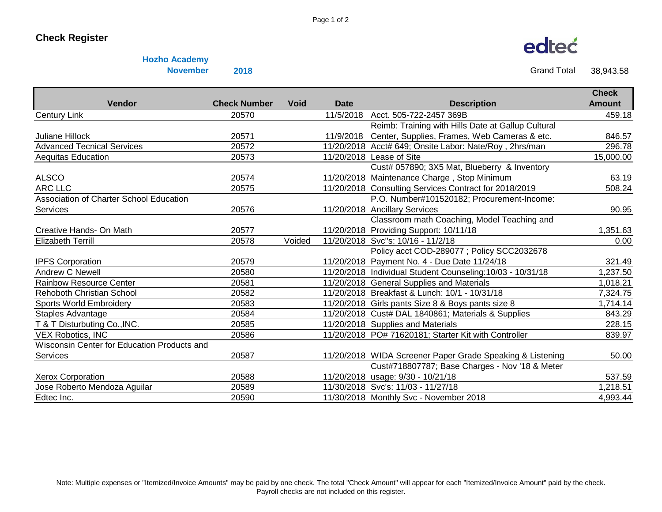## **Check Register**

## **Hozho Academy**

**November 2018** Grand Total 38,943.58

|                                             |                     |             |             |                                                            | <b>Check</b>  |
|---------------------------------------------|---------------------|-------------|-------------|------------------------------------------------------------|---------------|
| <b>Vendor</b>                               | <b>Check Number</b> | <b>Void</b> | <b>Date</b> | <b>Description</b>                                         | <b>Amount</b> |
| <b>Century Link</b>                         | 20570               |             | 11/5/2018   | Acct. 505-722-2457 369B                                    | 459.18        |
|                                             |                     |             |             | Reimb: Training with Hills Date at Gallup Cultural         |               |
| Juliane Hillock                             | 20571               |             |             | 11/9/2018 Center, Supplies, Frames, Web Cameras & etc.     | 846.57        |
| <b>Advanced Tecnical Services</b>           | 20572               |             |             | 11/20/2018 Acct# 649; Onsite Labor: Nate/Roy, 2hrs/man     | 296.78        |
| <b>Aequitas Education</b>                   | 20573               |             |             | 11/20/2018 Lease of Site                                   | 15,000.00     |
|                                             |                     |             |             | Cust# 057890; 3X5 Mat, Blueberry & Inventory               |               |
| <b>ALSCO</b>                                | 20574               |             |             | 11/20/2018 Maintenance Charge, Stop Minimum                | 63.19         |
| <b>ARC LLC</b>                              | 20575               |             |             | 11/20/2018 Consulting Services Contract for 2018/2019      | 508.24        |
| Association of Charter School Education     |                     |             |             | P.O. Number#101520182; Procurement-Income:                 |               |
| <b>Services</b>                             | 20576               |             |             | 11/20/2018 Ancillary Services                              | 90.95         |
|                                             |                     |             |             | Classroom math Coaching, Model Teaching and                |               |
| Creative Hands- On Math                     | 20577               |             |             | 11/20/2018 Providing Support: 10/11/18                     | 1,351.63      |
| <b>Elizabeth Terrill</b>                    | 20578               | Voided      |             | 11/20/2018 Svc"s: 10/16 - 11/2/18                          | 0.00          |
|                                             |                     |             |             | Policy acct COD-289077; Policy SCC2032678                  |               |
| <b>IPFS Corporation</b>                     | 20579               |             |             | 11/20/2018 Payment No. 4 - Due Date 11/24/18               | 321.49        |
| Andrew C Newell                             | 20580               |             |             | 11/20/2018 Individual Student Counseling: 10/03 - 10/31/18 | 1,237.50      |
| <b>Rainbow Resource Center</b>              | 20581               |             |             | 11/20/2018 General Supplies and Materials                  | 1,018.21      |
| <b>Rehoboth Christian School</b>            | 20582               |             |             | 11/20/2018 Breakfast & Lunch: 10/1 - 10/31/18              | 7,324.75      |
| <b>Sports World Embroidery</b>              | 20583               |             |             | 11/20/2018 Girls pants Size 8 & Boys pants size 8          | 1,714.14      |
| <b>Staples Advantage</b>                    | 20584               |             |             | 11/20/2018 Cust# DAL 1840861; Materials & Supplies         | 843.29        |
| T & T Disturbuting Co., INC.                | 20585               |             |             | 11/20/2018 Supplies and Materials                          | 228.15        |
| <b>VEX Robotics, INC</b>                    | 20586               |             |             | 11/20/2018 PO# 71620181; Starter Kit with Controller       | 839.97        |
| Wisconsin Center for Education Products and |                     |             |             |                                                            |               |
| <b>Services</b>                             | 20587               |             |             | 11/20/2018 WIDA Screener Paper Grade Speaking & Listening  | 50.00         |
|                                             |                     |             |             | Cust#718807787; Base Charges - Nov '18 & Meter             |               |
| <b>Xerox Corporation</b>                    | 20588               |             |             | 11/20/2018 usage: 9/30 - 10/21/18                          | 537.59        |
| Jose Roberto Mendoza Aguilar                | 20589               |             |             | 11/30/2018 Svc's: 11/03 - 11/27/18                         | 1,218.51      |
| Edtec Inc.                                  | 20590               |             |             | 11/30/2018 Monthly Svc - November 2018                     | 4,993.44      |
|                                             |                     |             |             |                                                            |               |

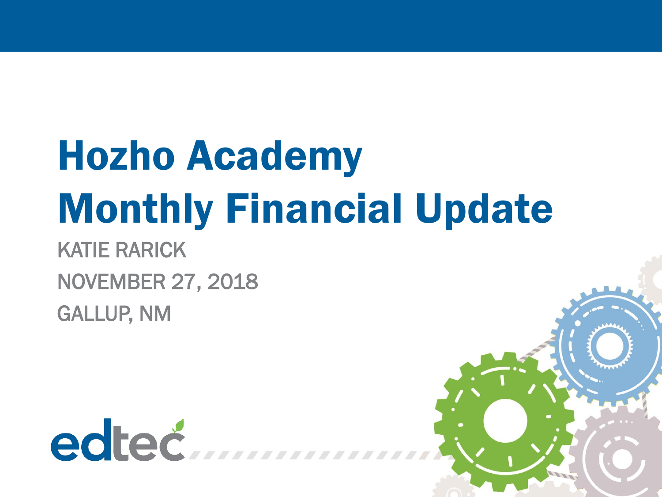# Hozho Academy Monthly Financial Update

KATIE RARICK NOVEMBER 27, 2018 GALLUP, NM

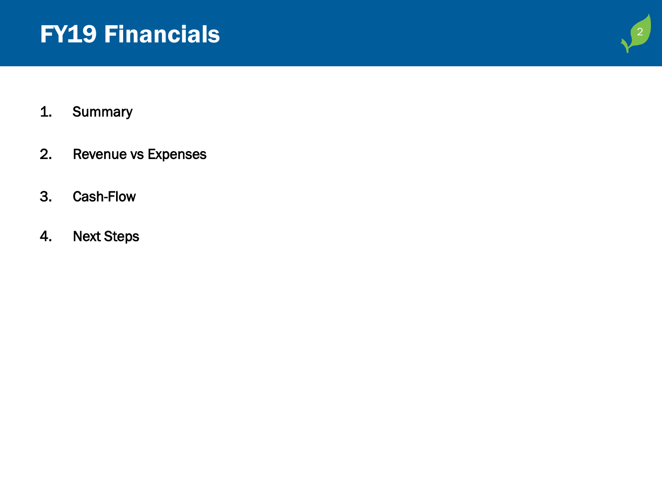# FY19 Financials

- 1. Summary
- 2. Revenue vs Expenses
- 3. Cash -Flow
- 4. Next Steps

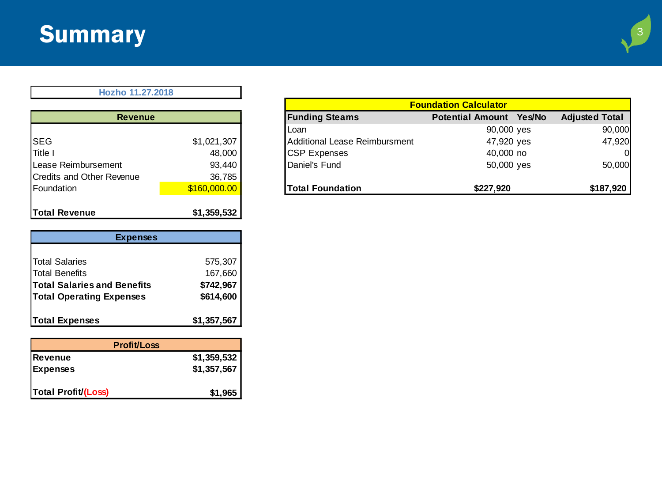# **Summary**

#### **Hozho 11.27.2018**

| <b>Revenue</b>            |              |
|---------------------------|--------------|
|                           |              |
| <b>SEG</b>                | \$1,021,307  |
| Title I                   | 48,000       |
| Lease Reimbursement       | 93,440       |
| Credits and Other Revenue | 36,785       |
| Foundation                | \$160,000.00 |
|                           |              |
| <b>Total Revenue</b>      | \$1,359,532  |

|                           |              |                               | <b>Foundation Calculator</b> |                       |
|---------------------------|--------------|-------------------------------|------------------------------|-----------------------|
| <b>Revenue</b>            |              | <b>Funding Steams</b>         | Potential Amount Yes/No      | <b>Adiusted Total</b> |
|                           |              | I Loan                        | 90,000 yes                   | 90,000                |
| SEG                       | \$1,021,307  | Additional Lease Reimbursment | 47,920 yes                   | 47,920                |
| Title I                   | 48,000       | <b>CSP Expenses</b>           | 40,000 no                    | $\Omega$              |
| Lease Reimbursement       | 93,440       | Daniel's Fund                 | 50,000 yes                   | 50,000                |
| Credits and Other Revenue | 36,785       |                               |                              |                       |
| Foundation                | \$160,000.00 | <b>Total Foundation</b>       | \$227,920                    | \$187,920             |
|                           |              |                               |                              |                       |

| <b>Expenses</b>                    |             |
|------------------------------------|-------------|
|                                    |             |
| lTotal Salaries                    | 575,307     |
| lTotal Benefits                    | 167,660     |
| <b>Total Salaries and Benefits</b> | \$742,967   |
| <b>Total Operating Expenses</b>    | \$614,600   |
|                                    |             |
| <b>Total Expenses</b>              | \$1,357,567 |

| <b>Profit/Loss</b>         |             |
|----------------------------|-------------|
| Revenue                    | \$1,359,532 |
| Expenses                   | \$1,357,567 |
| <b>Total Profit/(Loss)</b> | \$1,965     |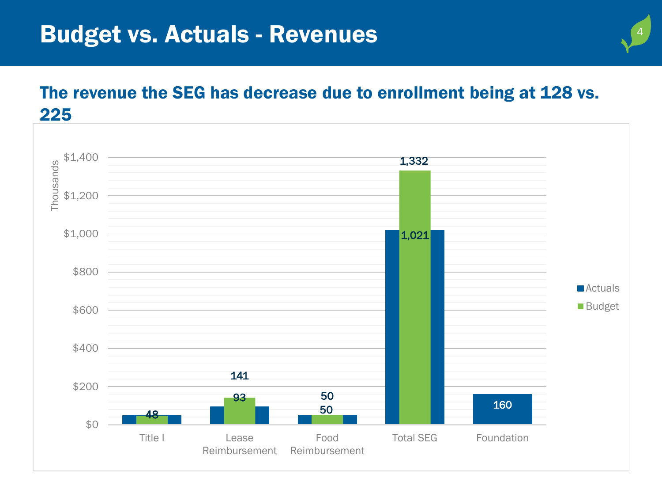# Budget vs. Actuals - Revenues



## The revenue the SEG has decrease due to enrollment being at 128 vs. 225

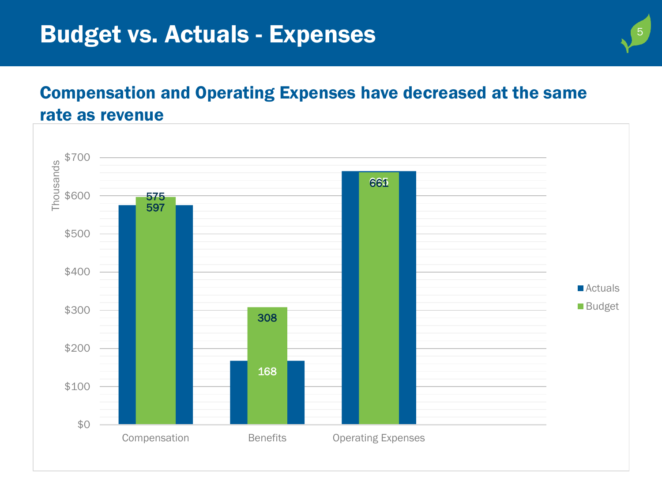# Budget vs. Actuals - Expenses

## 5 5

## Compensation and Operating Expenses have decreased at the same rate as revenue

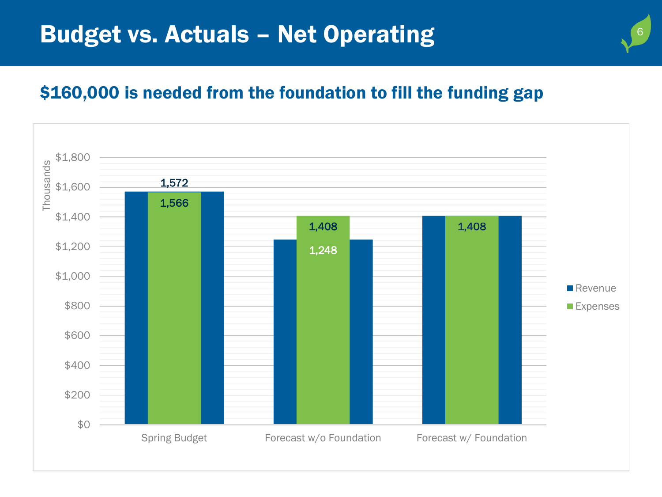# Budget vs. Actuals – Net Operating

## \$160,000 is needed from the foundation to fill the funding gap

 $\frac{1}{6}$ 6

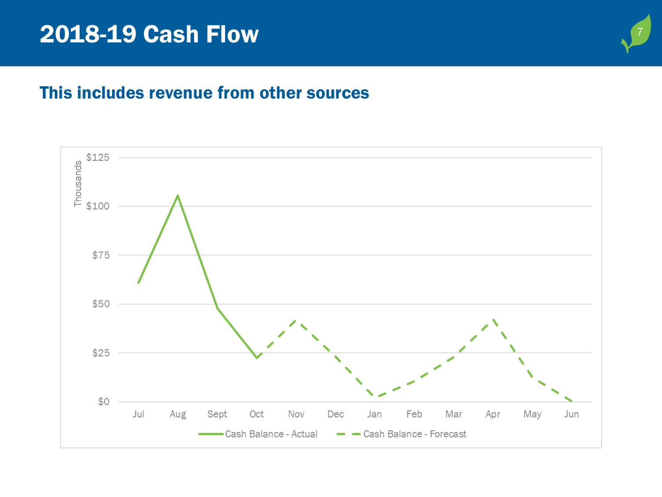# 2018-19 Cash Flow



## This includes revenue from other sources

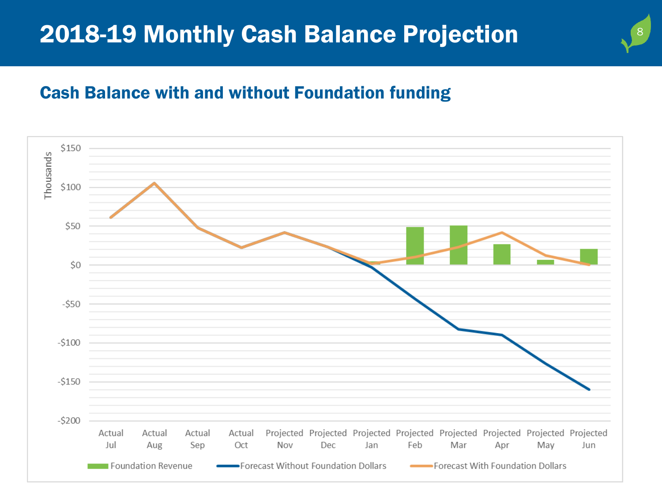# 2018-19 Monthly Cash Balance Projection

 $\frac{1}{\mathbf{Q}}$ 8

## Cash Balance with and without Foundation funding

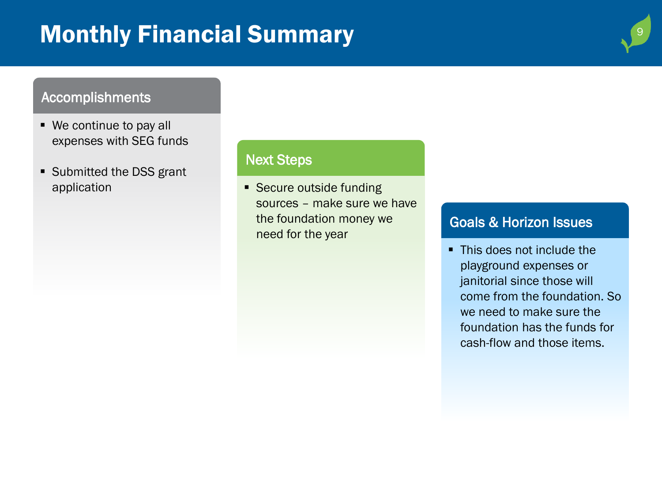# **Monthly Financial Summary**

## Accomplishments

- We continue to pay all expenses with SEG funds
- Submitted the DSS grant application

## Next Steps

■ Secure outside funding sources – make sure we have the foundation money we need for the year

## Goals & Horizon Issues

■ This does not include the playground expenses or janitorial since those will come from the foundation. So we need to make sure the foundation has the funds for cash-flow and those items.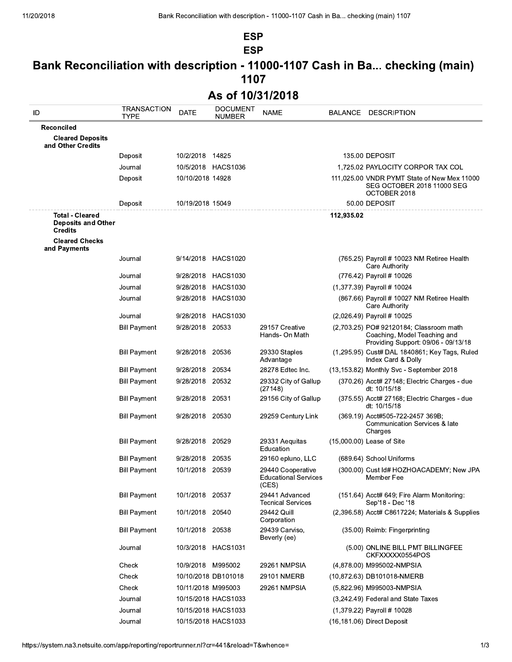ESP<br>ESP

## Bank Reconciliation with description - 11000-1107 Cash in Ba... checking (main) 1107 AS OT 1U/31/2018 MN TRANSACTION DATE DOCUMENT (DOCUMENT TYPE NAME BALANCE DESCRIPTION Reconciled Cleared D Deposits<br>-

| 10/2/2018 14825<br>135.00 DEPOSIT<br>Deposit<br>10/5/2018 HACS1036<br>1,725.02 PAYLOCITY CORPOR TAX COL<br>Journal<br>10/10/2018 14928<br>111,025.00 VNDR PYMT State of New Mex 11000<br>Deposit<br>SEG OCTOBER 2018 11000 SEG<br>OCTOBER 2018<br>Deposit<br>10/19/2018 15049<br>50.00 DEPOSIT<br>112,935.02<br>9/14/2018 HACS1020<br>(765.25) Payroll # 10023 NM Retiree Health<br>Journal<br>Care Authority<br>(776.42) Payroll # 10026<br>9/28/2018 HACS1030<br>Journal<br>Journal<br>9/28/2018 HACS1030<br>(1,377.39) Payroll # 10024<br>9/28/2018 HACS1030<br>(867.66) Payroll # 10027 NM Retiree Health<br>Journal<br>Care Authority<br>9/28/2018 HACS1030<br>(2,026.49) Payroll # 10025<br>Journal<br>9/28/2018 20533<br>29157 Creative<br>(2,703.25) PO# 92120184; Classroom math<br><b>Bill Payment</b><br>Hands- On Math<br>Coaching, Model Teaching and<br>Providing Support: 09/06 - 09/13/18<br>(1,295.95) Cust# DAL 1840861; Key Tags, Ruled<br><b>Bill Payment</b><br>9/28/2018 20536<br>29330 Staples<br>Index Card & Dolly<br>Advantage<br><b>Bill Payment</b><br>9/28/2018 20534<br>28278 Edtec Inc.<br>(13,153.82) Monthly Svc - September 2018<br>9/28/2018 20532<br><b>Bill Payment</b><br>29332 City of Gallup<br>(370.26) Acct# 27148; Electric Charges - due<br>(27148)<br>dt: 10/15/18<br><b>Bill Payment</b><br>9/28/2018 20531<br>29156 City of Gallup<br>(375.55) Acct# 27168; Electric Charges - due<br>dt: 10/15/18<br><b>Bill Payment</b><br>29259 Century Link<br>(369.19) Acct#505-722-2457 369B;<br>9/28/2018 20530<br>Communication Services & late<br>Charges<br><b>Bill Payment</b><br>9/28/2018 20529<br>29331 Aequitas<br>(15,000.00) Lease of Site<br>Education<br><b>Bill Payment</b><br>9/28/2018 20535<br>29160 epluno, LLC<br>(689.64) School Uniforms<br>29440 Cooperative<br>(300.00) Cust Id# HOZHOACADEMY; New JPA<br><b>Bill Payment</b><br>10/1/2018 20539<br><b>Educational Services</b><br>Member Fee<br>(CES)<br>29441 Advanced<br><b>Bill Payment</b><br>10/1/2018 20537<br>(151.64) Acct# 649; Fire Alarm Monitoring:<br><b>Tecnical Services</b><br>Sep'18 - Dec '18<br>10/1/2018 20540<br>29442 Quill<br>(2,396.58) Acct# C8617224; Materials & Supplies<br><b>Bill Payment</b><br>Corporation<br><b>Bill Payment</b><br>10/1/2018 20538<br>29439 Carviso,<br>(35.00) Reimb: Fingerprinting<br>Beverly (ee)<br>Journal<br>10/3/2018 HACS1031<br>(5.00) ONLINE BILL PMT BILLINGFEE<br>CKFXXXXX0554POS<br>10/9/2018 M995002<br>29261 NMPSIA<br>(4,878.00) M995002-NMPSIA<br>Check<br>10/10/2018 DB101018<br>29101 NMERB<br>(10,872.63) DB101018-NMERB<br>Check<br>10/11/2018 M995003<br>29261 NMPSIA<br>Check<br>(5,822.96) M995003-NMPSIA<br>10/15/2018 HACS1033<br>(3,242.49) Federal and State Taxes<br>Journal<br>10/15/2018 HACS1033<br>(1,379.22) Payroll # 10028<br>Journal<br>Journal<br>10/15/2018 HACS1033<br>(16,181.06) Direct Deposit | tps://system.na3.netsuite.com/app/reporting/reportrunner.nl?cr=441&reload=T&whence= | and Other Credits                                                     |  |  |  |
|-----------------------------------------------------------------------------------------------------------------------------------------------------------------------------------------------------------------------------------------------------------------------------------------------------------------------------------------------------------------------------------------------------------------------------------------------------------------------------------------------------------------------------------------------------------------------------------------------------------------------------------------------------------------------------------------------------------------------------------------------------------------------------------------------------------------------------------------------------------------------------------------------------------------------------------------------------------------------------------------------------------------------------------------------------------------------------------------------------------------------------------------------------------------------------------------------------------------------------------------------------------------------------------------------------------------------------------------------------------------------------------------------------------------------------------------------------------------------------------------------------------------------------------------------------------------------------------------------------------------------------------------------------------------------------------------------------------------------------------------------------------------------------------------------------------------------------------------------------------------------------------------------------------------------------------------------------------------------------------------------------------------------------------------------------------------------------------------------------------------------------------------------------------------------------------------------------------------------------------------------------------------------------------------------------------------------------------------------------------------------------------------------------------------------------------------------------------------------------------------------------------------------------------------------------------------------------------------------------------------------------------------------------------------------------------------------------------------------------------------------------------------------------------------------------------------------------------------------------------------------------------------------------------|-------------------------------------------------------------------------------------|-----------------------------------------------------------------------|--|--|--|
|                                                                                                                                                                                                                                                                                                                                                                                                                                                                                                                                                                                                                                                                                                                                                                                                                                                                                                                                                                                                                                                                                                                                                                                                                                                                                                                                                                                                                                                                                                                                                                                                                                                                                                                                                                                                                                                                                                                                                                                                                                                                                                                                                                                                                                                                                                                                                                                                                                                                                                                                                                                                                                                                                                                                                                                                                                                                                                           |                                                                                     |                                                                       |  |  |  |
|                                                                                                                                                                                                                                                                                                                                                                                                                                                                                                                                                                                                                                                                                                                                                                                                                                                                                                                                                                                                                                                                                                                                                                                                                                                                                                                                                                                                                                                                                                                                                                                                                                                                                                                                                                                                                                                                                                                                                                                                                                                                                                                                                                                                                                                                                                                                                                                                                                                                                                                                                                                                                                                                                                                                                                                                                                                                                                           |                                                                                     |                                                                       |  |  |  |
|                                                                                                                                                                                                                                                                                                                                                                                                                                                                                                                                                                                                                                                                                                                                                                                                                                                                                                                                                                                                                                                                                                                                                                                                                                                                                                                                                                                                                                                                                                                                                                                                                                                                                                                                                                                                                                                                                                                                                                                                                                                                                                                                                                                                                                                                                                                                                                                                                                                                                                                                                                                                                                                                                                                                                                                                                                                                                                           |                                                                                     |                                                                       |  |  |  |
|                                                                                                                                                                                                                                                                                                                                                                                                                                                                                                                                                                                                                                                                                                                                                                                                                                                                                                                                                                                                                                                                                                                                                                                                                                                                                                                                                                                                                                                                                                                                                                                                                                                                                                                                                                                                                                                                                                                                                                                                                                                                                                                                                                                                                                                                                                                                                                                                                                                                                                                                                                                                                                                                                                                                                                                                                                                                                                           |                                                                                     |                                                                       |  |  |  |
|                                                                                                                                                                                                                                                                                                                                                                                                                                                                                                                                                                                                                                                                                                                                                                                                                                                                                                                                                                                                                                                                                                                                                                                                                                                                                                                                                                                                                                                                                                                                                                                                                                                                                                                                                                                                                                                                                                                                                                                                                                                                                                                                                                                                                                                                                                                                                                                                                                                                                                                                                                                                                                                                                                                                                                                                                                                                                                           |                                                                                     | <b>Total - Cleared</b><br><b>Deposits and Other</b><br><b>Credits</b> |  |  |  |
|                                                                                                                                                                                                                                                                                                                                                                                                                                                                                                                                                                                                                                                                                                                                                                                                                                                                                                                                                                                                                                                                                                                                                                                                                                                                                                                                                                                                                                                                                                                                                                                                                                                                                                                                                                                                                                                                                                                                                                                                                                                                                                                                                                                                                                                                                                                                                                                                                                                                                                                                                                                                                                                                                                                                                                                                                                                                                                           |                                                                                     | <b>Cleared Checks</b><br>and Payments                                 |  |  |  |
|                                                                                                                                                                                                                                                                                                                                                                                                                                                                                                                                                                                                                                                                                                                                                                                                                                                                                                                                                                                                                                                                                                                                                                                                                                                                                                                                                                                                                                                                                                                                                                                                                                                                                                                                                                                                                                                                                                                                                                                                                                                                                                                                                                                                                                                                                                                                                                                                                                                                                                                                                                                                                                                                                                                                                                                                                                                                                                           |                                                                                     |                                                                       |  |  |  |
|                                                                                                                                                                                                                                                                                                                                                                                                                                                                                                                                                                                                                                                                                                                                                                                                                                                                                                                                                                                                                                                                                                                                                                                                                                                                                                                                                                                                                                                                                                                                                                                                                                                                                                                                                                                                                                                                                                                                                                                                                                                                                                                                                                                                                                                                                                                                                                                                                                                                                                                                                                                                                                                                                                                                                                                                                                                                                                           |                                                                                     |                                                                       |  |  |  |
|                                                                                                                                                                                                                                                                                                                                                                                                                                                                                                                                                                                                                                                                                                                                                                                                                                                                                                                                                                                                                                                                                                                                                                                                                                                                                                                                                                                                                                                                                                                                                                                                                                                                                                                                                                                                                                                                                                                                                                                                                                                                                                                                                                                                                                                                                                                                                                                                                                                                                                                                                                                                                                                                                                                                                                                                                                                                                                           |                                                                                     |                                                                       |  |  |  |
|                                                                                                                                                                                                                                                                                                                                                                                                                                                                                                                                                                                                                                                                                                                                                                                                                                                                                                                                                                                                                                                                                                                                                                                                                                                                                                                                                                                                                                                                                                                                                                                                                                                                                                                                                                                                                                                                                                                                                                                                                                                                                                                                                                                                                                                                                                                                                                                                                                                                                                                                                                                                                                                                                                                                                                                                                                                                                                           |                                                                                     |                                                                       |  |  |  |
|                                                                                                                                                                                                                                                                                                                                                                                                                                                                                                                                                                                                                                                                                                                                                                                                                                                                                                                                                                                                                                                                                                                                                                                                                                                                                                                                                                                                                                                                                                                                                                                                                                                                                                                                                                                                                                                                                                                                                                                                                                                                                                                                                                                                                                                                                                                                                                                                                                                                                                                                                                                                                                                                                                                                                                                                                                                                                                           |                                                                                     |                                                                       |  |  |  |
|                                                                                                                                                                                                                                                                                                                                                                                                                                                                                                                                                                                                                                                                                                                                                                                                                                                                                                                                                                                                                                                                                                                                                                                                                                                                                                                                                                                                                                                                                                                                                                                                                                                                                                                                                                                                                                                                                                                                                                                                                                                                                                                                                                                                                                                                                                                                                                                                                                                                                                                                                                                                                                                                                                                                                                                                                                                                                                           |                                                                                     |                                                                       |  |  |  |
|                                                                                                                                                                                                                                                                                                                                                                                                                                                                                                                                                                                                                                                                                                                                                                                                                                                                                                                                                                                                                                                                                                                                                                                                                                                                                                                                                                                                                                                                                                                                                                                                                                                                                                                                                                                                                                                                                                                                                                                                                                                                                                                                                                                                                                                                                                                                                                                                                                                                                                                                                                                                                                                                                                                                                                                                                                                                                                           |                                                                                     |                                                                       |  |  |  |
|                                                                                                                                                                                                                                                                                                                                                                                                                                                                                                                                                                                                                                                                                                                                                                                                                                                                                                                                                                                                                                                                                                                                                                                                                                                                                                                                                                                                                                                                                                                                                                                                                                                                                                                                                                                                                                                                                                                                                                                                                                                                                                                                                                                                                                                                                                                                                                                                                                                                                                                                                                                                                                                                                                                                                                                                                                                                                                           |                                                                                     |                                                                       |  |  |  |
|                                                                                                                                                                                                                                                                                                                                                                                                                                                                                                                                                                                                                                                                                                                                                                                                                                                                                                                                                                                                                                                                                                                                                                                                                                                                                                                                                                                                                                                                                                                                                                                                                                                                                                                                                                                                                                                                                                                                                                                                                                                                                                                                                                                                                                                                                                                                                                                                                                                                                                                                                                                                                                                                                                                                                                                                                                                                                                           |                                                                                     |                                                                       |  |  |  |
|                                                                                                                                                                                                                                                                                                                                                                                                                                                                                                                                                                                                                                                                                                                                                                                                                                                                                                                                                                                                                                                                                                                                                                                                                                                                                                                                                                                                                                                                                                                                                                                                                                                                                                                                                                                                                                                                                                                                                                                                                                                                                                                                                                                                                                                                                                                                                                                                                                                                                                                                                                                                                                                                                                                                                                                                                                                                                                           |                                                                                     |                                                                       |  |  |  |
|                                                                                                                                                                                                                                                                                                                                                                                                                                                                                                                                                                                                                                                                                                                                                                                                                                                                                                                                                                                                                                                                                                                                                                                                                                                                                                                                                                                                                                                                                                                                                                                                                                                                                                                                                                                                                                                                                                                                                                                                                                                                                                                                                                                                                                                                                                                                                                                                                                                                                                                                                                                                                                                                                                                                                                                                                                                                                                           |                                                                                     |                                                                       |  |  |  |
|                                                                                                                                                                                                                                                                                                                                                                                                                                                                                                                                                                                                                                                                                                                                                                                                                                                                                                                                                                                                                                                                                                                                                                                                                                                                                                                                                                                                                                                                                                                                                                                                                                                                                                                                                                                                                                                                                                                                                                                                                                                                                                                                                                                                                                                                                                                                                                                                                                                                                                                                                                                                                                                                                                                                                                                                                                                                                                           |                                                                                     |                                                                       |  |  |  |
|                                                                                                                                                                                                                                                                                                                                                                                                                                                                                                                                                                                                                                                                                                                                                                                                                                                                                                                                                                                                                                                                                                                                                                                                                                                                                                                                                                                                                                                                                                                                                                                                                                                                                                                                                                                                                                                                                                                                                                                                                                                                                                                                                                                                                                                                                                                                                                                                                                                                                                                                                                                                                                                                                                                                                                                                                                                                                                           |                                                                                     |                                                                       |  |  |  |
|                                                                                                                                                                                                                                                                                                                                                                                                                                                                                                                                                                                                                                                                                                                                                                                                                                                                                                                                                                                                                                                                                                                                                                                                                                                                                                                                                                                                                                                                                                                                                                                                                                                                                                                                                                                                                                                                                                                                                                                                                                                                                                                                                                                                                                                                                                                                                                                                                                                                                                                                                                                                                                                                                                                                                                                                                                                                                                           |                                                                                     |                                                                       |  |  |  |
|                                                                                                                                                                                                                                                                                                                                                                                                                                                                                                                                                                                                                                                                                                                                                                                                                                                                                                                                                                                                                                                                                                                                                                                                                                                                                                                                                                                                                                                                                                                                                                                                                                                                                                                                                                                                                                                                                                                                                                                                                                                                                                                                                                                                                                                                                                                                                                                                                                                                                                                                                                                                                                                                                                                                                                                                                                                                                                           |                                                                                     |                                                                       |  |  |  |
|                                                                                                                                                                                                                                                                                                                                                                                                                                                                                                                                                                                                                                                                                                                                                                                                                                                                                                                                                                                                                                                                                                                                                                                                                                                                                                                                                                                                                                                                                                                                                                                                                                                                                                                                                                                                                                                                                                                                                                                                                                                                                                                                                                                                                                                                                                                                                                                                                                                                                                                                                                                                                                                                                                                                                                                                                                                                                                           |                                                                                     |                                                                       |  |  |  |
|                                                                                                                                                                                                                                                                                                                                                                                                                                                                                                                                                                                                                                                                                                                                                                                                                                                                                                                                                                                                                                                                                                                                                                                                                                                                                                                                                                                                                                                                                                                                                                                                                                                                                                                                                                                                                                                                                                                                                                                                                                                                                                                                                                                                                                                                                                                                                                                                                                                                                                                                                                                                                                                                                                                                                                                                                                                                                                           |                                                                                     |                                                                       |  |  |  |
|                                                                                                                                                                                                                                                                                                                                                                                                                                                                                                                                                                                                                                                                                                                                                                                                                                                                                                                                                                                                                                                                                                                                                                                                                                                                                                                                                                                                                                                                                                                                                                                                                                                                                                                                                                                                                                                                                                                                                                                                                                                                                                                                                                                                                                                                                                                                                                                                                                                                                                                                                                                                                                                                                                                                                                                                                                                                                                           |                                                                                     |                                                                       |  |  |  |
|                                                                                                                                                                                                                                                                                                                                                                                                                                                                                                                                                                                                                                                                                                                                                                                                                                                                                                                                                                                                                                                                                                                                                                                                                                                                                                                                                                                                                                                                                                                                                                                                                                                                                                                                                                                                                                                                                                                                                                                                                                                                                                                                                                                                                                                                                                                                                                                                                                                                                                                                                                                                                                                                                                                                                                                                                                                                                                           |                                                                                     |                                                                       |  |  |  |
|                                                                                                                                                                                                                                                                                                                                                                                                                                                                                                                                                                                                                                                                                                                                                                                                                                                                                                                                                                                                                                                                                                                                                                                                                                                                                                                                                                                                                                                                                                                                                                                                                                                                                                                                                                                                                                                                                                                                                                                                                                                                                                                                                                                                                                                                                                                                                                                                                                                                                                                                                                                                                                                                                                                                                                                                                                                                                                           | 1/3                                                                                 |                                                                       |  |  |  |
|                                                                                                                                                                                                                                                                                                                                                                                                                                                                                                                                                                                                                                                                                                                                                                                                                                                                                                                                                                                                                                                                                                                                                                                                                                                                                                                                                                                                                                                                                                                                                                                                                                                                                                                                                                                                                                                                                                                                                                                                                                                                                                                                                                                                                                                                                                                                                                                                                                                                                                                                                                                                                                                                                                                                                                                                                                                                                                           |                                                                                     |                                                                       |  |  |  |
|                                                                                                                                                                                                                                                                                                                                                                                                                                                                                                                                                                                                                                                                                                                                                                                                                                                                                                                                                                                                                                                                                                                                                                                                                                                                                                                                                                                                                                                                                                                                                                                                                                                                                                                                                                                                                                                                                                                                                                                                                                                                                                                                                                                                                                                                                                                                                                                                                                                                                                                                                                                                                                                                                                                                                                                                                                                                                                           |                                                                                     |                                                                       |  |  |  |
|                                                                                                                                                                                                                                                                                                                                                                                                                                                                                                                                                                                                                                                                                                                                                                                                                                                                                                                                                                                                                                                                                                                                                                                                                                                                                                                                                                                                                                                                                                                                                                                                                                                                                                                                                                                                                                                                                                                                                                                                                                                                                                                                                                                                                                                                                                                                                                                                                                                                                                                                                                                                                                                                                                                                                                                                                                                                                                           |                                                                                     |                                                                       |  |  |  |
|                                                                                                                                                                                                                                                                                                                                                                                                                                                                                                                                                                                                                                                                                                                                                                                                                                                                                                                                                                                                                                                                                                                                                                                                                                                                                                                                                                                                                                                                                                                                                                                                                                                                                                                                                                                                                                                                                                                                                                                                                                                                                                                                                                                                                                                                                                                                                                                                                                                                                                                                                                                                                                                                                                                                                                                                                                                                                                           |                                                                                     |                                                                       |  |  |  |
|                                                                                                                                                                                                                                                                                                                                                                                                                                                                                                                                                                                                                                                                                                                                                                                                                                                                                                                                                                                                                                                                                                                                                                                                                                                                                                                                                                                                                                                                                                                                                                                                                                                                                                                                                                                                                                                                                                                                                                                                                                                                                                                                                                                                                                                                                                                                                                                                                                                                                                                                                                                                                                                                                                                                                                                                                                                                                                           |                                                                                     |                                                                       |  |  |  |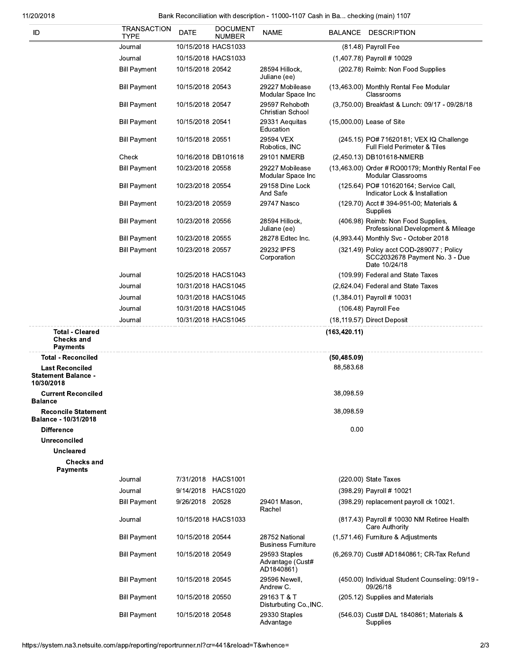Bank Reconciliation with description - 11000-1107 Cash in Ba... checking (main) 1107

|                                                                    | <b>TRANSACTION</b><br><b>TYPE</b> | <b>DATE</b>         | <b>DOCUMENT</b><br><b>NUMBER</b> | <b>NAME</b>                                     |               | BALANCE DESCRIPTION                                                                         |
|--------------------------------------------------------------------|-----------------------------------|---------------------|----------------------------------|-------------------------------------------------|---------------|---------------------------------------------------------------------------------------------|
|                                                                    | Journal                           |                     | 10/15/2018 HACS1033              |                                                 |               | (81.48) Payroll Fee                                                                         |
|                                                                    | Journal                           |                     | 10/15/2018 HACS1033              |                                                 |               | (1,407.78) Payroll # 10029                                                                  |
|                                                                    | <b>Bill Payment</b>               | 10/15/2018 20542    |                                  | 28594 Hillock,<br>Juliane (ee)                  |               | (202.78) Reimb: Non Food Supplies                                                           |
|                                                                    | <b>Bill Payment</b>               | 10/15/2018 20543    |                                  | 29227 Mobilease<br>Modular Space Inc            |               | (13,463.00) Monthly Rental Fee Modular<br>Classrooms                                        |
|                                                                    | <b>Bill Payment</b>               | 10/15/2018 20547    |                                  | 29597 Rehoboth<br>Christian School              |               | (3,750.00) Breakfast & Lunch: 09/17 - 09/28/18                                              |
|                                                                    | <b>Bill Payment</b>               | 10/15/2018 20541    |                                  | 29331 Aequitas<br>Education                     |               | (15,000.00) Lease of Site                                                                   |
|                                                                    | <b>Bill Payment</b>               | 10/15/2018 20551    |                                  | 29594 VEX<br>Robotics, INC                      |               | (245.15) PO# 71620181; VEX IQ Challenge<br><b>Full Field Perimeter &amp; Tiles</b>          |
|                                                                    | Check                             | 10/16/2018 DB101618 |                                  | 29101 NMERB                                     |               | (2,450.13) DB101618-NMERB                                                                   |
|                                                                    | <b>Bill Payment</b>               | 10/23/2018 20558    |                                  | 29227 Mobilease<br>Modular Space Inc            |               | (13,463.00) Order # RO00179; Monthly Rental Fee<br>Modular Classrooms                       |
|                                                                    | <b>Bill Payment</b>               | 10/23/2018 20554    |                                  | 29158 Dine Lock<br>And Safe                     |               | (125.64) PO# 101620164; Service Call,<br>Indicator Lock & Installation                      |
|                                                                    | <b>Bill Payment</b>               | 10/23/2018 20559    |                                  | 29747 Nasco                                     |               | (129.70) Acct # 394-951-00; Materials &<br>Supplies                                         |
|                                                                    | <b>Bill Payment</b>               | 10/23/2018 20556    |                                  | 28594 Hillock.<br>Juliane (ee)                  |               | (406.98) Reimb: Non Food Supplies,<br>Professional Development & Mileage                    |
|                                                                    | <b>Bill Payment</b>               | 10/23/2018 20555    |                                  | 28278 Edtec Inc.                                |               | (4,993.44) Monthly Svc - October 2018                                                       |
|                                                                    | <b>Bill Payment</b>               | 10/23/2018 20557    |                                  | 29232 IPFS<br>Corporation                       |               | (321.49) Policy acct COD-289077 ; Policy<br>SCC2032678 Payment No. 3 - Due<br>Date 10/24/18 |
|                                                                    | Journal                           |                     | 10/25/2018 HACS1043              |                                                 |               | (109.99) Federal and State Taxes                                                            |
|                                                                    | Journal                           |                     | 10/31/2018 HACS1045              |                                                 |               | (2,624.04) Federal and State Taxes                                                          |
|                                                                    | Journal                           |                     | 10/31/2018 HACS1045              |                                                 |               | (1,384.01) Payroll # 10031                                                                  |
|                                                                    | Journal                           |                     | 10/31/2018 HACS1045              |                                                 |               | (106.48) Payroll Fee                                                                        |
|                                                                    | Journal                           |                     | 10/31/2018 HACS1045              |                                                 |               | (18,119.57) Direct Deposit                                                                  |
| <b>Total - Cleared</b><br><b>Checks and</b><br><b>Payments</b>     |                                   |                     |                                  |                                                 | (163, 420.11) |                                                                                             |
| <b>Total - Reconciled</b>                                          |                                   |                     |                                  |                                                 | (50, 485.09)  |                                                                                             |
| <b>Last Reconciled</b><br><b>Statement Balance -</b><br>10/30/2018 |                                   |                     |                                  |                                                 | 88,583.68     |                                                                                             |
| <b>Current Reconciled</b><br><b>Balance</b>                        |                                   |                     |                                  |                                                 | 38.098.59     |                                                                                             |
| <b>Reconcile Statement</b><br>Balance - 10/31/2018                 |                                   |                     |                                  |                                                 | 38,098.59     |                                                                                             |
| <b>Difference</b><br><b>Unreconciled</b><br>Uncleared              |                                   |                     |                                  |                                                 | 0.00          |                                                                                             |
| <b>Checks and</b><br>Payments                                      |                                   |                     |                                  |                                                 |               |                                                                                             |
|                                                                    | Journal                           | 7/31/2018           | <b>HACS1001</b>                  |                                                 |               | $(220.00)$ State Taxes                                                                      |
|                                                                    | Journal                           | 9/14/2018           | <b>HACS1020</b>                  |                                                 |               | (398.29) Payroll # 10021                                                                    |
|                                                                    | <b>Bill Payment</b>               | 9/26/2018 20528     |                                  | 29401 Mason,<br>Rachel                          |               | (398.29) replacement payroll ck 10021.                                                      |
|                                                                    | Journal                           |                     | 10/15/2018 HACS1033              |                                                 |               | (817.43) Payroll # 10030 NM Retiree Health<br>Care Authority                                |
|                                                                    | <b>Bill Payment</b>               | 10/15/2018 20544    |                                  | 28752 National<br><b>Business Furniture</b>     |               | (1,571.46) Furniture & Adjustments                                                          |
|                                                                    | <b>Bill Payment</b>               | 10/15/2018 20549    |                                  | 29593 Staples<br>Advantage (Cust#<br>AD1840861) |               | (6,269.70) Cust# AD1840861; CR-Tax Refund                                                   |
|                                                                    | <b>Bill Payment</b>               | 10/15/2018 20545    |                                  | 29596 Newell,<br>Andrew C.                      |               | (450.00) Individual Student Counseling: 09/19 -<br>09/26/18                                 |
|                                                                    |                                   | 10/15/2018 20550    |                                  | 29163 T & T<br>Disturbuting Co., INC.           |               | (205.12) Supplies and Materials                                                             |
|                                                                    | <b>Bill Payment</b>               |                     |                                  |                                                 |               | (546.03) Cust# DAL 1840861; Materials &                                                     |